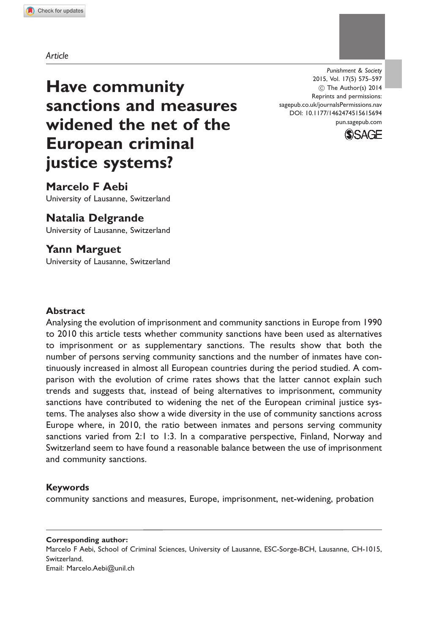Article

Punishment & Society 2015, Vol. 17(5) 575–597  $\circledcirc$  The Author(s) 2014 Reprints and permissions: sagepub.co.uk/journalsPermissions.nav DOI: 10.1177/1462474515615694 pun.sagepub.com



Marcelo F Aebi University of Lausanne, Switzerland

justice systems?

Have community

European criminal

sanctions and measures

widened the net of the

# Natalia Delgrande

University of Lausanne, Switzerland

# Yann Marguet

University of Lausanne, Switzerland

## Abstract

Analysing the evolution of imprisonment and community sanctions in Europe from 1990 to 2010 this article tests whether community sanctions have been used as alternatives to imprisonment or as supplementary sanctions. The results show that both the number of persons serving community sanctions and the number of inmates have continuously increased in almost all European countries during the period studied. A comparison with the evolution of crime rates shows that the latter cannot explain such trends and suggests that, instead of being alternatives to imprisonment, community sanctions have contributed to widening the net of the European criminal justice systems. The analyses also show a wide diversity in the use of community sanctions across Europe where, in 2010, the ratio between inmates and persons serving community sanctions varied from 2:1 to 1:3. In a comparative perspective, Finland, Norway and Switzerland seem to have found a reasonable balance between the use of imprisonment and community sanctions.

### Keywords

community sanctions and measures, Europe, imprisonment, net-widening, probation

Corresponding author: Marcelo F Aebi, School of Criminal Sciences, University of Lausanne, ESC-Sorge-BCH, Lausanne, CH-1015, Switzerland. Email: Marcelo.Aebi@unil.ch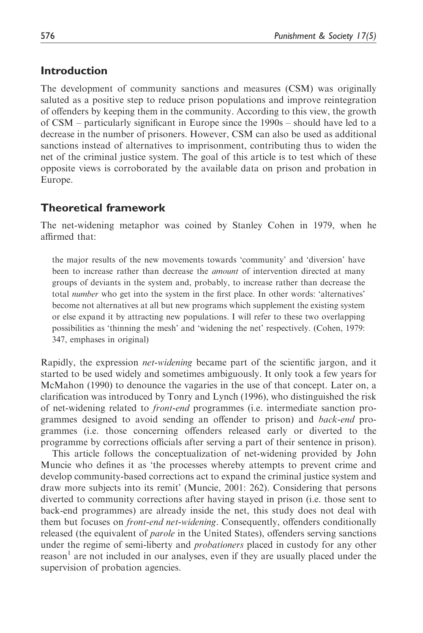# Introduction

The development of community sanctions and measures (CSM) was originally saluted as a positive step to reduce prison populations and improve reintegration of offenders by keeping them in the community. According to this view, the growth of CSM – particularly significant in Europe since the 1990s – should have led to a decrease in the number of prisoners. However, CSM can also be used as additional sanctions instead of alternatives to imprisonment, contributing thus to widen the net of the criminal justice system. The goal of this article is to test which of these opposite views is corroborated by the available data on prison and probation in Europe.

# Theoretical framework

The net-widening metaphor was coined by Stanley Cohen in 1979, when he affirmed that:

the major results of the new movements towards 'community' and 'diversion' have been to increase rather than decrease the *amount* of intervention directed at many groups of deviants in the system and, probably, to increase rather than decrease the total number who get into the system in the first place. In other words: 'alternatives' become not alternatives at all but new programs which supplement the existing system or else expand it by attracting new populations. I will refer to these two overlapping possibilities as 'thinning the mesh' and 'widening the net' respectively. (Cohen, 1979: 347, emphases in original)

Rapidly, the expression net-widening became part of the scientific jargon, and it started to be used widely and sometimes ambiguously. It only took a few years for McMahon (1990) to denounce the vagaries in the use of that concept. Later on, a clarification was introduced by Tonry and Lynch (1996), who distinguished the risk of net-widening related to front-end programmes (i.e. intermediate sanction programmes designed to avoid sending an offender to prison) and back-end programmes (i.e. those concerning offenders released early or diverted to the programme by corrections officials after serving a part of their sentence in prison).

This article follows the conceptualization of net-widening provided by John Muncie who defines it as 'the processes whereby attempts to prevent crime and develop community-based corrections act to expand the criminal justice system and draw more subjects into its remit' (Muncie, 2001: 262). Considering that persons diverted to community corrections after having stayed in prison (i.e. those sent to back-end programmes) are already inside the net, this study does not deal with them but focuses on *front-end net-widening*. Consequently, offenders conditionally released (the equivalent of *parole* in the United States), offenders serving sanctions under the regime of semi-liberty and *probationers* placed in custody for any other reason<sup>1</sup> are not included in our analyses, even if they are usually placed under the supervision of probation agencies.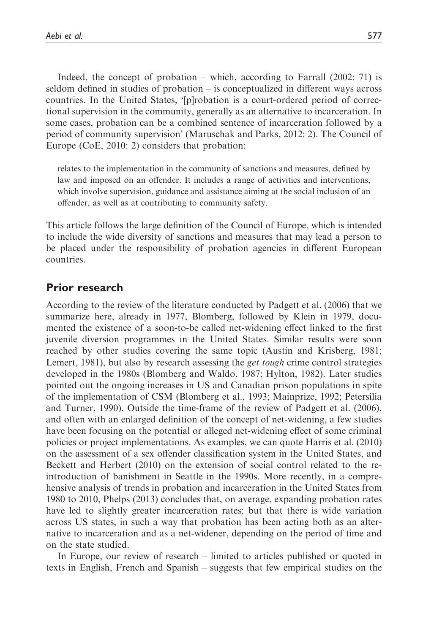Indeed, the concept of probation – which, according to Farrall (2002: 71) is seldom defined in studies of probation – is conceptualized in different ways across countries. In the United States, '[p]robation is a court-ordered period of correctional supervision in the community, generally as an alternative to incarceration. In some cases, probation can be a combined sentence of incarceration followed by a period of community supervision' (Maruschak and Parks, 2012: 2). The Council of Europe (CoE, 2010: 2) considers that probation:

relates to the implementation in the community of sanctions and measures, defined by law and imposed on an offender. It includes a range of activities and interventions, which involve supervision, guidance and assistance aiming at the social inclusion of an offender, as well as at contributing to community safety.

This article follows the large definition of the Council of Europe, which is intended to include the wide diversity of sanctions and measures that may lead a person to be placed under the responsibility of probation agencies in different European countries.

## Prior research

According to the review of the literature conducted by Padgett et al. (2006) that we summarize here, already in 1977, Blomberg, followed by Klein in 1979, documented the existence of a soon-to-be called net-widening effect linked to the first juvenile diversion programmes in the United States. Similar results were soon reached by other studies covering the same topic (Austin and Krisberg, 1981; Lemert, 1981), but also by research assessing the *get tough* crime control strategies developed in the 1980s (Blomberg and Waldo, 1987; Hylton, 1982). Later studies pointed out the ongoing increases in US and Canadian prison populations in spite of the implementation of CSM (Blomberg et al., 1993; Mainprize, 1992; Petersilia and Turner, 1990). Outside the time-frame of the review of Padgett et al. (2006), and often with an enlarged definition of the concept of net-widening, a few studies have been focusing on the potential or alleged net-widening effect of some criminal policies or project implementations. As examples, we can quote Harris et al. (2010) on the assessment of a sex offender classification system in the United States, and Beckett and Herbert (2010) on the extension of social control related to the reintroduction of banishment in Seattle in the 1990s. More recently, in a comprehensive analysis of trends in probation and incarceration in the United States from 1980 to 2010, Phelps (2013) concludes that, on average, expanding probation rates have led to slightly greater incarceration rates; but that there is wide variation across US states, in such a way that probation has been acting both as an alternative to incarceration and as a net-widener, depending on the period of time and on the state studied.

In Europe, our review of research – limited to articles published or quoted in texts in English, French and Spanish – suggests that few empirical studies on the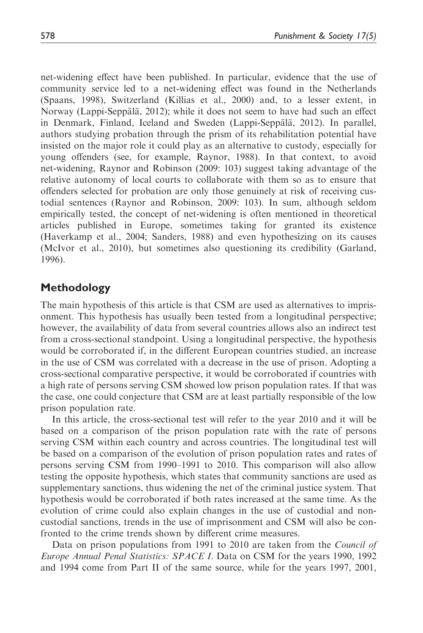net-widening effect have been published. In particular, evidence that the use of community service led to a net-widening effect was found in the Netherlands (Spaans, 1998), Switzerland (Killias et al., 2000) and, to a lesser extent, in Norway (Lappi-Seppala, 2012); while it does not seem to have had such an effect in Denmark, Finland, Iceland and Sweden (Lappi-Seppala, 2012). In parallel, authors studying probation through the prism of its rehabilitation potential have insisted on the major role it could play as an alternative to custody, especially for young offenders (see, for example, Raynor, 1988). In that context, to avoid net-widening, Raynor and Robinson (2009: 103) suggest taking advantage of the relative autonomy of local courts to collaborate with them so as to ensure that offenders selected for probation are only those genuinely at risk of receiving custodial sentences (Raynor and Robinson, 2009: 103). In sum, although seldom empirically tested, the concept of net-widening is often mentioned in theoretical articles published in Europe, sometimes taking for granted its existence (Haverkamp et al., 2004; Sanders, 1988) and even hypothesizing on its causes (McIvor et al., 2010), but sometimes also questioning its credibility (Garland, 1996).

# Methodology

The main hypothesis of this article is that CSM are used as alternatives to imprisonment. This hypothesis has usually been tested from a longitudinal perspective; however, the availability of data from several countries allows also an indirect test from a cross-sectional standpoint. Using a longitudinal perspective, the hypothesis would be corroborated if, in the different European countries studied, an increase in the use of CSM was correlated with a decrease in the use of prison. Adopting a cross-sectional comparative perspective, it would be corroborated if countries with a high rate of persons serving CSM showed low prison population rates. If that was the case, one could conjecture that CSM are at least partially responsible of the low prison population rate.

In this article, the cross-sectional test will refer to the year 2010 and it will be based on a comparison of the prison population rate with the rate of persons serving CSM within each country and across countries. The longitudinal test will be based on a comparison of the evolution of prison population rates and rates of persons serving CSM from 1990–1991 to 2010. This comparison will also allow testing the opposite hypothesis, which states that community sanctions are used as supplementary sanctions, thus widening the net of the criminal justice system. That hypothesis would be corroborated if both rates increased at the same time. As the evolution of crime could also explain changes in the use of custodial and noncustodial sanctions, trends in the use of imprisonment and CSM will also be confronted to the crime trends shown by different crime measures.

Data on prison populations from 1991 to 2010 are taken from the *Council of* Europe Annual Penal Statistics: SPACE I. Data on CSM for the years 1990, 1992 and 1994 come from Part II of the same source, while for the years 1997, 2001,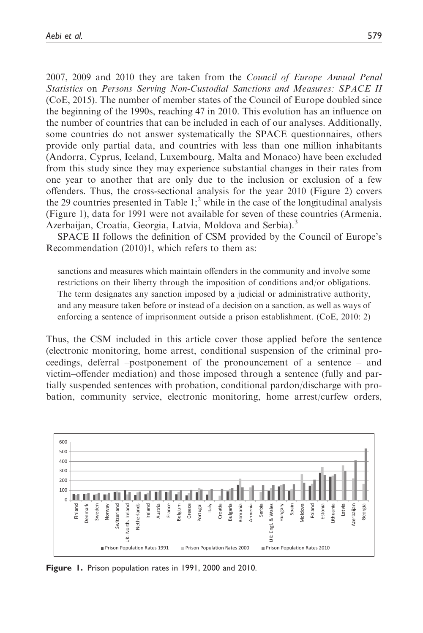2007, 2009 and 2010 they are taken from the Council of Europe Annual Penal Statistics on Persons Serving Non-Custodial Sanctions and Measures: SPACE II (CoE, 2015). The number of member states of the Council of Europe doubled since the beginning of the 1990s, reaching 47 in 2010. This evolution has an influence on the number of countries that can be included in each of our analyses. Additionally, some countries do not answer systematically the SPACE questionnaires, others provide only partial data, and countries with less than one million inhabitants (Andorra, Cyprus, Iceland, Luxembourg, Malta and Monaco) have been excluded from this study since they may experience substantial changes in their rates from one year to another that are only due to the inclusion or exclusion of a few offenders. Thus, the cross-sectional analysis for the year 2010 (Figure 2) covers the 29 countries presented in Table 1;<sup>2</sup> while in the case of the longitudinal analysis (Figure 1), data for 1991 were not available for seven of these countries (Armenia, Azerbaijan, Croatia, Georgia, Latvia, Moldova and Serbia).<sup>3</sup>

SPACE II follows the definition of CSM provided by the Council of Europe's Recommendation (2010)1, which refers to them as:

sanctions and measures which maintain offenders in the community and involve some restrictions on their liberty through the imposition of conditions and/or obligations. The term designates any sanction imposed by a judicial or administrative authority, and any measure taken before or instead of a decision on a sanction, as well as ways of enforcing a sentence of imprisonment outside a prison establishment. (CoE, 2010: 2)

Thus, the CSM included in this article cover those applied before the sentence (electronic monitoring, home arrest, conditional suspension of the criminal proceedings, deferral –postponement of the pronouncement of a sentence – and victim–offender mediation) and those imposed through a sentence (fully and partially suspended sentences with probation, conditional pardon/discharge with probation, community service, electronic monitoring, home arrest/curfew orders,



Figure 1. Prison population rates in 1991, 2000 and 2010.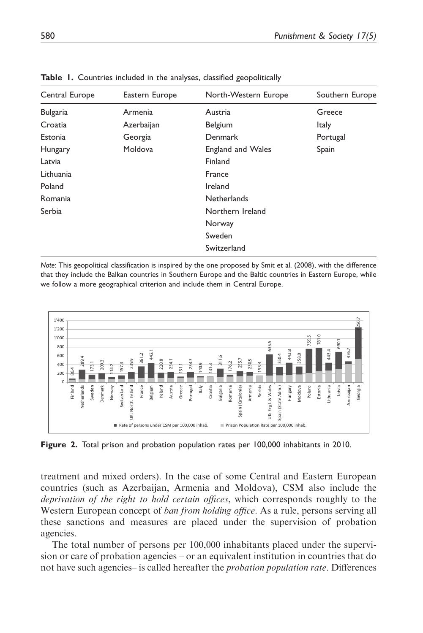| Central Europe  | Eastern Europe | North-Western Europe | Southern Europe |
|-----------------|----------------|----------------------|-----------------|
| <b>Bulgaria</b> | Armenia        | Austria              | Greece          |
| Croatia         | Azerbaijan     | Belgium              | <b>Italy</b>    |
| Estonia         | Georgia        | Denmark              | Portugal        |
| Hungary         | Moldova        | England and Wales    | Spain           |
| Latvia          |                | Finland              |                 |
| Lithuania       |                | France               |                 |
| Poland          |                | Ireland              |                 |
| Romania         |                | <b>Netherlands</b>   |                 |
| Serbia          |                | Northern Ireland     |                 |
|                 |                | Norway               |                 |
|                 |                | Sweden               |                 |
|                 |                | Switzerland          |                 |

Table 1. Countries included in the analyses, classified geopolitically

Note: This geopolitical classification is inspired by the one proposed by Smit et al. (2008), with the difference that they include the Balkan countries in Southern Europe and the Baltic countries in Eastern Europe, while we follow a more geographical criterion and include them in Central Europe.



Figure 2. Total prison and probation population rates per 100,000 inhabitants in 2010.

treatment and mixed orders). In the case of some Central and Eastern European countries (such as Azerbaijan, Armenia and Moldova), CSM also include the deprivation of the right to hold certain offices, which corresponds roughly to the Western European concept of *ban from holding office*. As a rule, persons serving all these sanctions and measures are placed under the supervision of probation agencies.

The total number of persons per 100,000 inhabitants placed under the supervision or care of probation agencies – or an equivalent institution in countries that do not have such agencies– is called hereafter the *probation population rate*. Differences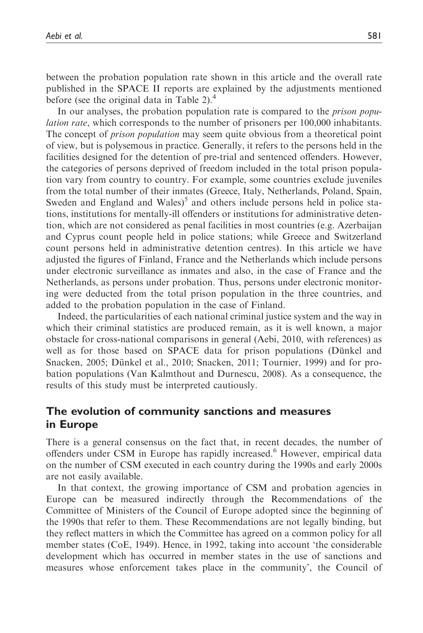between the probation population rate shown in this article and the overall rate published in the SPACE II reports are explained by the adjustments mentioned before (see the original data in Table 2).<sup>4</sup>

In our analyses, the probation population rate is compared to the prison population rate, which corresponds to the number of prisoners per 100,000 inhabitants. The concept of *prison population* may seem quite obvious from a theoretical point of view, but is polysemous in practice. Generally, it refers to the persons held in the facilities designed for the detention of pre-trial and sentenced offenders. However, the categories of persons deprived of freedom included in the total prison population vary from country to country. For example, some countries exclude juveniles from the total number of their inmates (Greece, Italy, Netherlands, Poland, Spain, Sweden and England and Wales)<sup>5</sup> and others include persons held in police stations, institutions for mentally-ill offenders or institutions for administrative detention, which are not considered as penal facilities in most countries (e.g. Azerbaijan and Cyprus count people held in police stations; while Greece and Switzerland count persons held in administrative detention centres). In this article we have adjusted the figures of Finland, France and the Netherlands which include persons under electronic surveillance as inmates and also, in the case of France and the Netherlands, as persons under probation. Thus, persons under electronic monitoring were deducted from the total prison population in the three countries, and added to the probation population in the case of Finland.

Indeed, the particularities of each national criminal justice system and the way in which their criminal statistics are produced remain, as it is well known, a major obstacle for cross-national comparisons in general (Aebi, 2010, with references) as well as for those based on SPACE data for prison populations (Dünkel and Snacken, 2005; Dünkel et al., 2010; Snacken, 2011; Tournier, 1999) and for probation populations (Van Kalmthout and Durnescu, 2008). As a consequence, the results of this study must be interpreted cautiously.

# The evolution of community sanctions and measures in Europe

There is a general consensus on the fact that, in recent decades, the number of offenders under CSM in Europe has rapidly increased.<sup>6</sup> However, empirical data on the number of CSM executed in each country during the 1990s and early 2000s are not easily available.

In that context, the growing importance of CSM and probation agencies in Europe can be measured indirectly through the Recommendations of the Committee of Ministers of the Council of Europe adopted since the beginning of the 1990s that refer to them. These Recommendations are not legally binding, but they reflect matters in which the Committee has agreed on a common policy for all member states (CoE, 1949). Hence, in 1992, taking into account 'the considerable development which has occurred in member states in the use of sanctions and measures whose enforcement takes place in the community', the Council of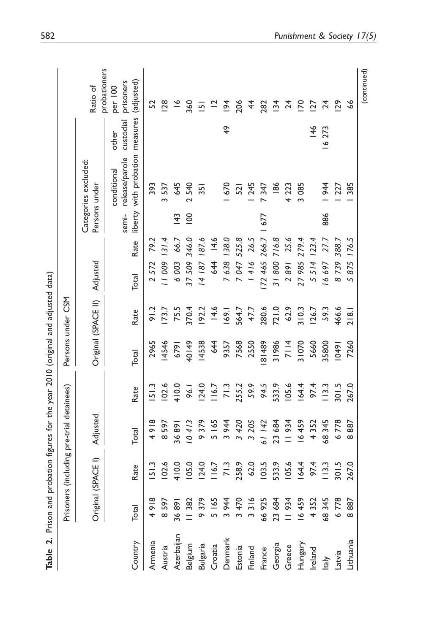|                                                                |              |                  |                                 |                  | $\sum_{i=1}^{\infty}$ |                     |                       |       |                  |                                                          |                    |                                    |
|----------------------------------------------------------------|--------------|------------------|---------------------------------|------------------|-----------------------|---------------------|-----------------------|-------|------------------|----------------------------------------------------------|--------------------|------------------------------------|
|                                                                | Prisoners    |                  | (including pre-trial detainees) |                  |                       | Persons under CSM   |                       |       |                  |                                                          |                    |                                    |
|                                                                | Original     | (SPACE I)        | Adjusted                        |                  |                       | Original (SPACE II) | Adjusted              |       | Persons under    | Categories excluded:                                     |                    | probationers<br>Ratio of           |
| Country                                                        | Total        | Rate             | Total                           | Rate             | Total                 | Rate                | Total                 | Rate  | liberty<br>semi- | with probation measures<br>release/parole<br>conditional | custodial<br>other | (adjusted)<br>prisoners<br>per 100 |
| Armenia                                                        | 4918         | 51.3             | 4918                            | 51.3             | 2965                  | 91.2                | 2572                  | 79.2  |                  | 393                                                      |                    | 52                                 |
| Austria                                                        | 8597         | 102.6            | 8597                            | 02.6             | 4546                  | 73.7                | 00011                 | 131.4 |                  | 537<br>$\sim$                                            |                    | $^{28}$                            |
| Azerbaijan                                                     | 36 891       | 410.0            | 36 891                          | 410.0            | 6791                  | 75.5                | 6003                  | 66.7  | $\frac{43}{5}$   | 645                                                      |                    | $\tilde{=}$                        |
|                                                                | 11382        | 105.0            | 10413                           | 96.1             | 40149                 | 370.4               | 37509                 | 346.0 | $\frac{8}{1}$    | 540<br>$\overline{\mathbf{C}}$                           |                    | 360                                |
| Belgium<br>Bulgaria<br>Croatia<br>Estonia<br>Estonia<br>France | 9379         | 124.0            | 9379                            | 124.0            | 4538                  | 192.2               | 14187                 | 187.6 |                  | $\overline{35}$                                          |                    | ᅙ                                  |
|                                                                | 5 165        | 116.7            | 5 165                           | 116.7            | 644                   | 14.6                | 644                   | 14.6  |                  |                                                          |                    | $\mathbf{\Xi}$                     |
|                                                                | 3944         | 71.3             | 3944                            | 71.3             | 9357                  | 169.1               | 638<br>$\overline{ }$ | 138.0 |                  | 670                                                      | $\frac{6}{7}$      | $\overline{5}$                     |
|                                                                | 3 470        | 258.9            | 420<br>$\sim$                   | 255.2            | 7568                  | 564.7               | 047<br>$\overline{ }$ | 525.8 |                  | 521                                                      |                    | 206                                |
|                                                                | 316          | 62.0             | 205<br>$\sim$                   | 59.9             | 2550                  | 47.7                | 416                   | 26.5  |                  | 245                                                      |                    | 4                                  |
|                                                                | 66 925       | 103.5            | 61 142                          | 94.5             | 81489                 | 280.6               | 172 465               | 266.7 | 1677             | 347                                                      |                    | 282                                |
| Georgia<br>Greece                                              | 23 684       | 533.9            | 23 684                          | 533.9            | 31986                 | 721.0               | 800<br>$\overline{3}$ | 716.8 |                  | $\frac{86}{2}$                                           |                    | $\frac{34}{5}$                     |
|                                                                | <b>11934</b> | 105.6            | 11934                           | 105.6            | 7114                  | 62.9                | 168<br>2              | 25.6  |                  | 4 223                                                    |                    | $\overline{24}$                    |
| Hungary                                                        | 16459        | 64.4             | 16459                           | 64.4             | 31070                 | 310.3               | 27985                 | 279.4 |                  | 085                                                      |                    | $\approx$                          |
| Ireland                                                        | 4352         | 97.4             | 4352                            | 97.4             | 5660                  | 126.7               | 514<br>$\overline{5}$ | 123.4 |                  |                                                          | 146                | 27                                 |
| $\vert$ taly                                                   | 68345        | $\frac{13.3}{ }$ | 68345                           | $\frac{13.3}{ }$ | 5800                  | 59.3                | 697<br>$\leq$         | 27.7  | 886              | 944                                                      | 16273              | 24                                 |
| Latvia                                                         | 6778         | 301.5            | 778<br>$\bullet$                | 301.5            | 1640                  | 466.6               | 739<br>$\infty$       | 388.7 |                  | 227                                                      |                    | 29                                 |
| Lithuania                                                      | 887          | 267.0            | 887<br>$\infty$                 | 267.0            | 7260                  | $\frac{18}{18}$     | 875<br>$\overline{5}$ | 176.5 |                  | 385                                                      |                    | \$                                 |
|                                                                |              |                  |                                 |                  |                       |                     |                       |       |                  |                                                          |                    | (continued)                        |

Table 2. Prison and probation figures for the year 2010 (original and adjusted data) Table 2. Prison and probation figures for the year 2010 (original and adjusted data)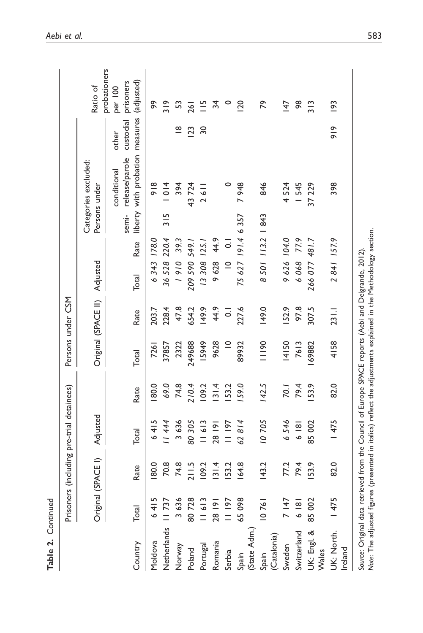| probationers<br>(adjusted)<br>prisoners<br>Ratio of<br>per 100<br>နွ<br>ጽ<br>319<br>$\Xi$<br>34<br>$\circ$<br><b>120</b><br>147<br>86<br><b>193</b><br>S<br>313<br>261<br>with probation measures<br>custodial<br>$\frac{6}{6}$<br>$\approx$<br>$\approx$<br>123<br>other<br>release/parole<br>Categories excluded:<br>conditional<br>$\frac{8}{6}$<br>1014<br>394<br>0<br>7948<br>846<br>4 524<br><b>1 545</b><br>37 229<br>398<br>43 724<br>Persons under<br>2611<br>liberty<br>semi-<br>$\frac{5}{3}$<br>8 50 / 113.2   843<br>75 627 191.4 6 357<br>9626 104.0<br>2 841 157.9<br>220.4<br>178.0<br>39.3<br>77.9<br>266 077 481.7<br>44.9<br>$\overline{\circ}$<br>549.1<br>Rate<br>125.1<br>6068<br>6343<br>36528<br>209 590<br>13308<br>Adjusted<br>0161<br>628<br>$\supseteq$<br>Total<br>o<br>Original (SPACE II)<br>52.9<br>228.4<br>149.0<br>97.8<br>307.5<br>47.8<br>149.9<br>44.9<br>227.6<br>203.7<br>654.2<br>231.1<br>$\overline{\circ}$<br>Rate<br>14150<br>4158<br>11190<br>249688<br>15949<br>9628<br>$\overline{a}$<br>89932<br>169882<br>7613<br>37857<br>2322<br>7261<br>Total<br>82.0<br>180.0<br>69.0<br>74.8<br>210.4<br>59.0<br>142.5<br>79.4<br>53.9<br>31.4<br>109.2<br>53.2<br>70.1<br>Rate<br>Adjusted<br>10 705<br>6 546<br>6415<br>11 444<br>3636<br>305<br>  475<br>197<br>814<br>85 002<br>613<br>$\overline{6}$<br>6 8 <br>Total<br>80<br>28<br>$=$<br>62<br>$=$<br>(SPACE I)<br>80.0<br>70.8<br>143.2<br>82.0<br>74.8<br>31.4<br>164.8<br>77.2<br>79.4<br>53.9<br>211.5<br>109.2<br>53.2<br>Rate<br>Original<br>3636<br><b>1475</b><br>6415<br>80728<br>65 098<br>7 147<br>85 002<br>Netherlands   1737<br>11613<br>11197<br>10761<br>6   8 <br>28   91<br>Total<br>(State Adm.)<br>UK: North.<br>UK: Engl. &<br>Switzerland<br>Spain<br>(Catalonia)<br>Country<br>Moldova<br>Romania<br>Norway<br>Portugal<br>Ireland<br>Poland<br>Wales<br>Serbia<br>Spain | Table 2. Continued | Prisoner | 's (including pre-trial detainees) |  | Persons under CSM |  |  |  |
|------------------------------------------------------------------------------------------------------------------------------------------------------------------------------------------------------------------------------------------------------------------------------------------------------------------------------------------------------------------------------------------------------------------------------------------------------------------------------------------------------------------------------------------------------------------------------------------------------------------------------------------------------------------------------------------------------------------------------------------------------------------------------------------------------------------------------------------------------------------------------------------------------------------------------------------------------------------------------------------------------------------------------------------------------------------------------------------------------------------------------------------------------------------------------------------------------------------------------------------------------------------------------------------------------------------------------------------------------------------------------------------------------------------------------------------------------------------------------------------------------------------------------------------------------------------------------------------------------------------------------------------------------------------------------------------------------------------------------------------------------------------------------------------------------------------------------------------------------------------------------------------------|--------------------|----------|------------------------------------|--|-------------------|--|--|--|
|                                                                                                                                                                                                                                                                                                                                                                                                                                                                                                                                                                                                                                                                                                                                                                                                                                                                                                                                                                                                                                                                                                                                                                                                                                                                                                                                                                                                                                                                                                                                                                                                                                                                                                                                                                                                                                                                                                |                    |          |                                    |  |                   |  |  |  |
|                                                                                                                                                                                                                                                                                                                                                                                                                                                                                                                                                                                                                                                                                                                                                                                                                                                                                                                                                                                                                                                                                                                                                                                                                                                                                                                                                                                                                                                                                                                                                                                                                                                                                                                                                                                                                                                                                                |                    |          |                                    |  |                   |  |  |  |
|                                                                                                                                                                                                                                                                                                                                                                                                                                                                                                                                                                                                                                                                                                                                                                                                                                                                                                                                                                                                                                                                                                                                                                                                                                                                                                                                                                                                                                                                                                                                                                                                                                                                                                                                                                                                                                                                                                |                    |          |                                    |  |                   |  |  |  |
|                                                                                                                                                                                                                                                                                                                                                                                                                                                                                                                                                                                                                                                                                                                                                                                                                                                                                                                                                                                                                                                                                                                                                                                                                                                                                                                                                                                                                                                                                                                                                                                                                                                                                                                                                                                                                                                                                                |                    |          |                                    |  |                   |  |  |  |
|                                                                                                                                                                                                                                                                                                                                                                                                                                                                                                                                                                                                                                                                                                                                                                                                                                                                                                                                                                                                                                                                                                                                                                                                                                                                                                                                                                                                                                                                                                                                                                                                                                                                                                                                                                                                                                                                                                |                    |          |                                    |  |                   |  |  |  |
|                                                                                                                                                                                                                                                                                                                                                                                                                                                                                                                                                                                                                                                                                                                                                                                                                                                                                                                                                                                                                                                                                                                                                                                                                                                                                                                                                                                                                                                                                                                                                                                                                                                                                                                                                                                                                                                                                                |                    |          |                                    |  |                   |  |  |  |
|                                                                                                                                                                                                                                                                                                                                                                                                                                                                                                                                                                                                                                                                                                                                                                                                                                                                                                                                                                                                                                                                                                                                                                                                                                                                                                                                                                                                                                                                                                                                                                                                                                                                                                                                                                                                                                                                                                |                    |          |                                    |  |                   |  |  |  |
|                                                                                                                                                                                                                                                                                                                                                                                                                                                                                                                                                                                                                                                                                                                                                                                                                                                                                                                                                                                                                                                                                                                                                                                                                                                                                                                                                                                                                                                                                                                                                                                                                                                                                                                                                                                                                                                                                                |                    |          |                                    |  |                   |  |  |  |
|                                                                                                                                                                                                                                                                                                                                                                                                                                                                                                                                                                                                                                                                                                                                                                                                                                                                                                                                                                                                                                                                                                                                                                                                                                                                                                                                                                                                                                                                                                                                                                                                                                                                                                                                                                                                                                                                                                |                    |          |                                    |  |                   |  |  |  |
|                                                                                                                                                                                                                                                                                                                                                                                                                                                                                                                                                                                                                                                                                                                                                                                                                                                                                                                                                                                                                                                                                                                                                                                                                                                                                                                                                                                                                                                                                                                                                                                                                                                                                                                                                                                                                                                                                                |                    |          |                                    |  |                   |  |  |  |
| Sweden                                                                                                                                                                                                                                                                                                                                                                                                                                                                                                                                                                                                                                                                                                                                                                                                                                                                                                                                                                                                                                                                                                                                                                                                                                                                                                                                                                                                                                                                                                                                                                                                                                                                                                                                                                                                                                                                                         |                    |          |                                    |  |                   |  |  |  |
|                                                                                                                                                                                                                                                                                                                                                                                                                                                                                                                                                                                                                                                                                                                                                                                                                                                                                                                                                                                                                                                                                                                                                                                                                                                                                                                                                                                                                                                                                                                                                                                                                                                                                                                                                                                                                                                                                                |                    |          |                                    |  |                   |  |  |  |
|                                                                                                                                                                                                                                                                                                                                                                                                                                                                                                                                                                                                                                                                                                                                                                                                                                                                                                                                                                                                                                                                                                                                                                                                                                                                                                                                                                                                                                                                                                                                                                                                                                                                                                                                                                                                                                                                                                |                    |          |                                    |  |                   |  |  |  |
|                                                                                                                                                                                                                                                                                                                                                                                                                                                                                                                                                                                                                                                                                                                                                                                                                                                                                                                                                                                                                                                                                                                                                                                                                                                                                                                                                                                                                                                                                                                                                                                                                                                                                                                                                                                                                                                                                                |                    |          |                                    |  |                   |  |  |  |
|                                                                                                                                                                                                                                                                                                                                                                                                                                                                                                                                                                                                                                                                                                                                                                                                                                                                                                                                                                                                                                                                                                                                                                                                                                                                                                                                                                                                                                                                                                                                                                                                                                                                                                                                                                                                                                                                                                |                    |          |                                    |  |                   |  |  |  |
|                                                                                                                                                                                                                                                                                                                                                                                                                                                                                                                                                                                                                                                                                                                                                                                                                                                                                                                                                                                                                                                                                                                                                                                                                                                                                                                                                                                                                                                                                                                                                                                                                                                                                                                                                                                                                                                                                                |                    |          |                                    |  |                   |  |  |  |
|                                                                                                                                                                                                                                                                                                                                                                                                                                                                                                                                                                                                                                                                                                                                                                                                                                                                                                                                                                                                                                                                                                                                                                                                                                                                                                                                                                                                                                                                                                                                                                                                                                                                                                                                                                                                                                                                                                |                    |          |                                    |  |                   |  |  |  |

Aebi et al. 583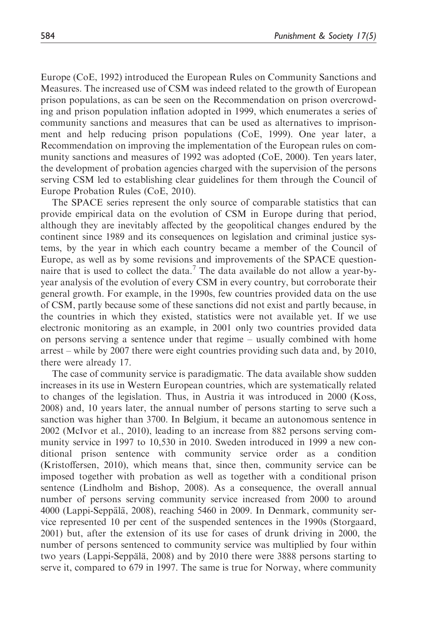Europe (CoE, 1992) introduced the European Rules on Community Sanctions and Measures. The increased use of CSM was indeed related to the growth of European prison populations, as can be seen on the Recommendation on prison overcrowding and prison population inflation adopted in 1999, which enumerates a series of community sanctions and measures that can be used as alternatives to imprisonment and help reducing prison populations (CoE, 1999). One year later, a Recommendation on improving the implementation of the European rules on community sanctions and measures of 1992 was adopted (CoE, 2000). Ten years later, the development of probation agencies charged with the supervision of the persons serving CSM led to establishing clear guidelines for them through the Council of Europe Probation Rules (CoE, 2010).

The SPACE series represent the only source of comparable statistics that can provide empirical data on the evolution of CSM in Europe during that period, although they are inevitably affected by the geopolitical changes endured by the continent since 1989 and its consequences on legislation and criminal justice systems, by the year in which each country became a member of the Council of Europe, as well as by some revisions and improvements of the SPACE questionnaire that is used to collect the data.<sup>7</sup> The data available do not allow a year-byyear analysis of the evolution of every CSM in every country, but corroborate their general growth. For example, in the 1990s, few countries provided data on the use of CSM, partly because some of these sanctions did not exist and partly because, in the countries in which they existed, statistics were not available yet. If we use electronic monitoring as an example, in 2001 only two countries provided data on persons serving a sentence under that regime – usually combined with home arrest – while by 2007 there were eight countries providing such data and, by 2010, there were already 17.

The case of community service is paradigmatic. The data available show sudden increases in its use in Western European countries, which are systematically related to changes of the legislation. Thus, in Austria it was introduced in 2000 (Koss, 2008) and, 10 years later, the annual number of persons starting to serve such a sanction was higher than 3700. In Belgium, it became an autonomous sentence in 2002 (McIvor et al., 2010), leading to an increase from 882 persons serving community service in 1997 to 10,530 in 2010. Sweden introduced in 1999 a new conditional prison sentence with community service order as a condition (Kristoffersen, 2010), which means that, since then, community service can be imposed together with probation as well as together with a conditional prison sentence (Lindholm and Bishop, 2008). As a consequence, the overall annual number of persons serving community service increased from 2000 to around 4000 (Lappi-Seppälä, 2008), reaching 5460 in 2009. In Denmark, community service represented 10 per cent of the suspended sentences in the 1990s (Storgaard, 2001) but, after the extension of its use for cases of drunk driving in 2000, the number of persons sentenced to community service was multiplied by four within two years (Lappi-Seppala, 2008) and by 2010 there were 3888 persons starting to serve it, compared to 679 in 1997. The same is true for Norway, where community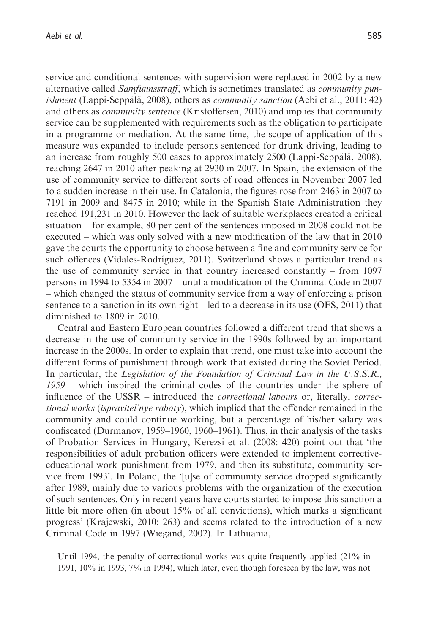service and conditional sentences with supervision were replaced in 2002 by a new alternative called Samfunnsstraff, which is sometimes translated as community punishment (Lappi-Seppälä, 2008), others as *community sanction* (Aebi et al., 2011: 42) and others as community sentence (Kristoffersen, 2010) and implies that community service can be supplemented with requirements such as the obligation to participate in a programme or mediation. At the same time, the scope of application of this measure was expanded to include persons sentenced for drunk driving, leading to an increase from roughly 500 cases to approximately  $2500$  (Lappi-Seppala, 2008), reaching 2647 in 2010 after peaking at 2930 in 2007. In Spain, the extension of the use of community service to different sorts of road offences in November 2007 led to a sudden increase in their use. In Catalonia, the figures rose from 2463 in 2007 to 7191 in 2009 and 8475 in 2010; while in the Spanish State Administration they reached 191,231 in 2010. However the lack of suitable workplaces created a critical situation – for example, 80 per cent of the sentences imposed in 2008 could not be executed – which was only solved with a new modification of the law that in 2010 gave the courts the opportunity to choose between a fine and community service for such offences (Vidales-Rodríguez, 2011). Switzerland shows a particular trend as the use of community service in that country increased constantly – from 1097 persons in 1994 to 5354 in 2007 – until a modification of the Criminal Code in 2007 – which changed the status of community service from a way of enforcing a prison sentence to a sanction in its own right – led to a decrease in its use (OFS, 2011) that diminished to 1809 in 2010.

Central and Eastern European countries followed a different trend that shows a decrease in the use of community service in the 1990s followed by an important increase in the 2000s. In order to explain that trend, one must take into account the different forms of punishment through work that existed during the Soviet Period. In particular, the Legislation of the Foundation of Criminal Law in the U.S.S.R., 1959 – which inspired the criminal codes of the countries under the sphere of influence of the USSR – introduced the *correctional labours* or, literally, *correc*tional works (ispravitel'nye raboty), which implied that the offender remained in the community and could continue working, but a percentage of his/her salary was confiscated (Durmanov, 1959–1960, 1960–1961). Thus, in their analysis of the tasks of Probation Services in Hungary, Kerezsi et al. (2008: 420) point out that 'the responsibilities of adult probation officers were extended to implement correctiveeducational work punishment from 1979, and then its substitute, community service from 1993'. In Poland, the '[u]se of community service dropped significantly after 1989, mainly due to various problems with the organization of the execution of such sentences. Only in recent years have courts started to impose this sanction a little bit more often (in about 15% of all convictions), which marks a significant progress' (Krajewski, 2010: 263) and seems related to the introduction of a new Criminal Code in 1997 (Wiegand, 2002). In Lithuania,

Until 1994, the penalty of correctional works was quite frequently applied (21% in 1991, 10% in 1993, 7% in 1994), which later, even though foreseen by the law, was not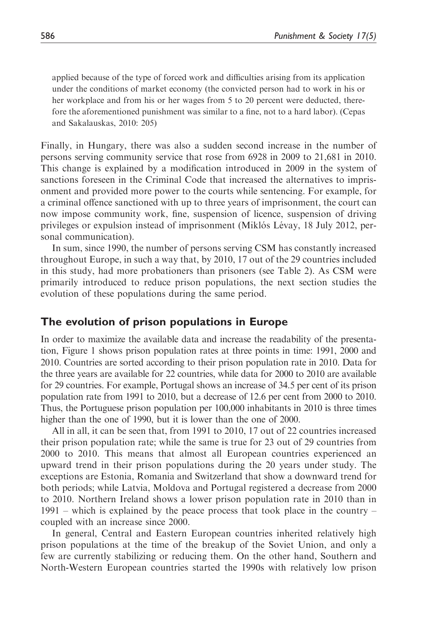applied because of the type of forced work and difficulties arising from its application under the conditions of market economy (the convicted person had to work in his or her workplace and from his or her wages from 5 to 20 percent were deducted, therefore the aforementioned punishment was similar to a fine, not to a hard labor). (Cepas and Sakalauskas, 2010: 205)

Finally, in Hungary, there was also a sudden second increase in the number of persons serving community service that rose from 6928 in 2009 to 21,681 in 2010. This change is explained by a modification introduced in 2009 in the system of sanctions foreseen in the Criminal Code that increased the alternatives to imprisonment and provided more power to the courts while sentencing. For example, for a criminal offence sanctioned with up to three years of imprisonment, the court can now impose community work, fine, suspension of licence, suspension of driving privileges or expulsion instead of imprisonment (Miklós Lévay, 18 July 2012, personal communication).

In sum, since 1990, the number of persons serving CSM has constantly increased throughout Europe, in such a way that, by 2010, 17 out of the 29 countries included in this study, had more probationers than prisoners (see Table 2). As CSM were primarily introduced to reduce prison populations, the next section studies the evolution of these populations during the same period.

## The evolution of prison populations in Europe

In order to maximize the available data and increase the readability of the presentation, Figure 1 shows prison population rates at three points in time: 1991, 2000 and 2010. Countries are sorted according to their prison population rate in 2010. Data for the three years are available for 22 countries, while data for 2000 to 2010 are available for 29 countries. For example, Portugal shows an increase of 34.5 per cent of its prison population rate from 1991 to 2010, but a decrease of 12.6 per cent from 2000 to 2010. Thus, the Portuguese prison population per 100,000 inhabitants in 2010 is three times higher than the one of 1990, but it is lower than the one of 2000.

All in all, it can be seen that, from 1991 to 2010, 17 out of 22 countries increased their prison population rate; while the same is true for 23 out of 29 countries from 2000 to 2010. This means that almost all European countries experienced an upward trend in their prison populations during the 20 years under study. The exceptions are Estonia, Romania and Switzerland that show a downward trend for both periods; while Latvia, Moldova and Portugal registered a decrease from 2000 to 2010. Northern Ireland shows a lower prison population rate in 2010 than in 1991 – which is explained by the peace process that took place in the country – coupled with an increase since 2000.

In general, Central and Eastern European countries inherited relatively high prison populations at the time of the breakup of the Soviet Union, and only a few are currently stabilizing or reducing them. On the other hand, Southern and North-Western European countries started the 1990s with relatively low prison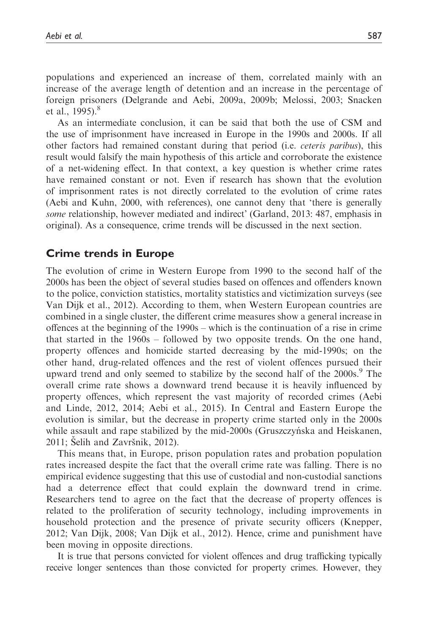populations and experienced an increase of them, correlated mainly with an increase of the average length of detention and an increase in the percentage of foreign prisoners (Delgrande and Aebi, 2009a, 2009b; Melossi, 2003; Snacken et al.,  $1995$ .<sup>8</sup>

As an intermediate conclusion, it can be said that both the use of CSM and the use of imprisonment have increased in Europe in the 1990s and 2000s. If all other factors had remained constant during that period (i.e. ceteris paribus), this result would falsify the main hypothesis of this article and corroborate the existence of a net-widening effect. In that context, a key question is whether crime rates have remained constant or not. Even if research has shown that the evolution of imprisonment rates is not directly correlated to the evolution of crime rates (Aebi and Kuhn, 2000, with references), one cannot deny that 'there is generally some relationship, however mediated and indirect' (Garland, 2013: 487, emphasis in original). As a consequence, crime trends will be discussed in the next section.

## Crime trends in Europe

The evolution of crime in Western Europe from 1990 to the second half of the 2000s has been the object of several studies based on offences and offenders known to the police, conviction statistics, mortality statistics and victimization surveys (see Van Dijk et al., 2012). According to them, when Western European countries are combined in a single cluster, the different crime measures show a general increase in offences at the beginning of the 1990s – which is the continuation of a rise in crime that started in the 1960s – followed by two opposite trends. On the one hand, property offences and homicide started decreasing by the mid-1990s; on the other hand, drug-related offences and the rest of violent offences pursued their upward trend and only seemed to stabilize by the second half of the 2000s.<sup>9</sup> The overall crime rate shows a downward trend because it is heavily influenced by property offences, which represent the vast majority of recorded crimes (Aebi and Linde, 2012, 2014; Aebi et al., 2015). In Central and Eastern Europe the evolution is similar, but the decrease in property crime started only in the 2000s while assault and rape stabilized by the mid-2000s (Gruszczyn´ska and Heiskanen,  $2011$ ; Selih and Završnik,  $2012$ ).

This means that, in Europe, prison population rates and probation population rates increased despite the fact that the overall crime rate was falling. There is no empirical evidence suggesting that this use of custodial and non-custodial sanctions had a deterrence effect that could explain the downward trend in crime. Researchers tend to agree on the fact that the decrease of property offences is related to the proliferation of security technology, including improvements in household protection and the presence of private security officers (Knepper, 2012; Van Dijk, 2008; Van Dijk et al., 2012). Hence, crime and punishment have been moving in opposite directions.

It is true that persons convicted for violent offences and drug trafficking typically receive longer sentences than those convicted for property crimes. However, they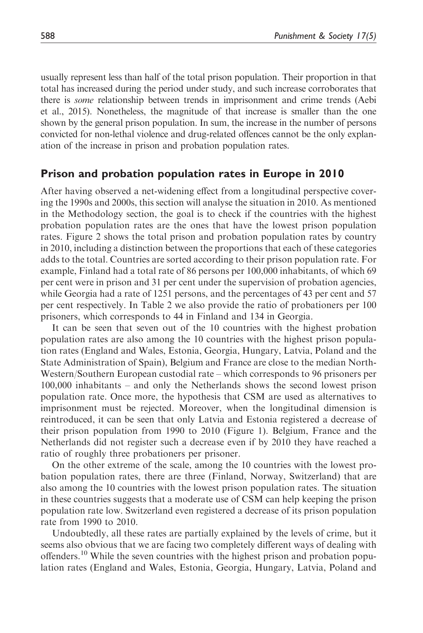usually represent less than half of the total prison population. Their proportion in that total has increased during the period under study, and such increase corroborates that there is some relationship between trends in imprisonment and crime trends (Aebi et al., 2015). Nonetheless, the magnitude of that increase is smaller than the one shown by the general prison population. In sum, the increase in the number of persons convicted for non-lethal violence and drug-related offences cannot be the only explanation of the increase in prison and probation population rates.

# Prison and probation population rates in Europe in 2010

After having observed a net-widening effect from a longitudinal perspective covering the 1990s and 2000s, this section will analyse the situation in 2010. As mentioned in the Methodology section, the goal is to check if the countries with the highest probation population rates are the ones that have the lowest prison population rates. Figure 2 shows the total prison and probation population rates by country in 2010, including a distinction between the proportions that each of these categories adds to the total. Countries are sorted according to their prison population rate. For example, Finland had a total rate of 86 persons per 100,000 inhabitants, of which 69 per cent were in prison and 31 per cent under the supervision of probation agencies, while Georgia had a rate of 1251 persons, and the percentages of 43 per cent and 57 per cent respectively. In Table 2 we also provide the ratio of probationers per 100 prisoners, which corresponds to 44 in Finland and 134 in Georgia.

It can be seen that seven out of the 10 countries with the highest probation population rates are also among the 10 countries with the highest prison population rates (England and Wales, Estonia, Georgia, Hungary, Latvia, Poland and the State Administration of Spain), Belgium and France are close to the median North-Western/Southern European custodial rate – which corresponds to 96 prisoners per 100,000 inhabitants – and only the Netherlands shows the second lowest prison population rate. Once more, the hypothesis that CSM are used as alternatives to imprisonment must be rejected. Moreover, when the longitudinal dimension is reintroduced, it can be seen that only Latvia and Estonia registered a decrease of their prison population from 1990 to 2010 (Figure 1). Belgium, France and the Netherlands did not register such a decrease even if by 2010 they have reached a ratio of roughly three probationers per prisoner.

On the other extreme of the scale, among the 10 countries with the lowest probation population rates, there are three (Finland, Norway, Switzerland) that are also among the 10 countries with the lowest prison population rates. The situation in these countries suggests that a moderate use of CSM can help keeping the prison population rate low. Switzerland even registered a decrease of its prison population rate from 1990 to 2010.

Undoubtedly, all these rates are partially explained by the levels of crime, but it seems also obvious that we are facing two completely different ways of dealing with offenders.<sup>10</sup> While the seven countries with the highest prison and probation population rates (England and Wales, Estonia, Georgia, Hungary, Latvia, Poland and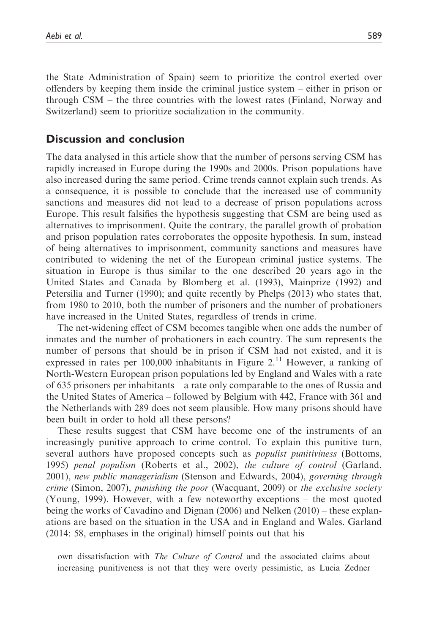the State Administration of Spain) seem to prioritize the control exerted over offenders by keeping them inside the criminal justice system – either in prison or through CSM – the three countries with the lowest rates (Finland, Norway and Switzerland) seem to prioritize socialization in the community.

## Discussion and conclusion

The data analysed in this article show that the number of persons serving CSM has rapidly increased in Europe during the 1990s and 2000s. Prison populations have also increased during the same period. Crime trends cannot explain such trends. As a consequence, it is possible to conclude that the increased use of community sanctions and measures did not lead to a decrease of prison populations across Europe. This result falsifies the hypothesis suggesting that CSM are being used as alternatives to imprisonment. Quite the contrary, the parallel growth of probation and prison population rates corroborates the opposite hypothesis. In sum, instead of being alternatives to imprisonment, community sanctions and measures have contributed to widening the net of the European criminal justice systems. The situation in Europe is thus similar to the one described 20 years ago in the United States and Canada by Blomberg et al. (1993), Mainprize (1992) and Petersilia and Turner (1990); and quite recently by Phelps (2013) who states that, from 1980 to 2010, both the number of prisoners and the number of probationers have increased in the United States, regardless of trends in crime.

The net-widening effect of CSM becomes tangible when one adds the number of inmates and the number of probationers in each country. The sum represents the number of persons that should be in prison if CSM had not existed, and it is expressed in rates per  $100,000$  inhabitants in Figure 2.<sup>11</sup> However, a ranking of North-Western European prison populations led by England and Wales with a rate of 635 prisoners per inhabitants – a rate only comparable to the ones of Russia and the United States of America – followed by Belgium with 442, France with 361 and the Netherlands with 289 does not seem plausible. How many prisons should have been built in order to hold all these persons?

These results suggest that CSM have become one of the instruments of an increasingly punitive approach to crime control. To explain this punitive turn, several authors have proposed concepts such as populist punitiviness (Bottoms, 1995) penal populism (Roberts et al., 2002), the culture of control (Garland, 2001), new public managerialism (Stenson and Edwards, 2004), governing through crime (Simon, 2007), punishing the poor (Wacquant, 2009) or the exclusive society (Young, 1999). However, with a few noteworthy exceptions – the most quoted being the works of Cavadino and Dignan (2006) and Nelken (2010) – these explanations are based on the situation in the USA and in England and Wales. Garland (2014: 58, emphases in the original) himself points out that his

own dissatisfaction with The Culture of Control and the associated claims about increasing punitiveness is not that they were overly pessimistic, as Lucia Zedner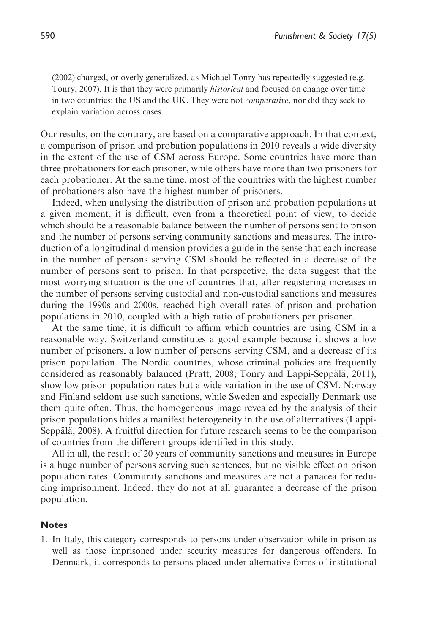(2002) charged, or overly generalized, as Michael Tonry has repeatedly suggested (e.g. Tonry, 2007). It is that they were primarily historical and focused on change over time in two countries: the US and the UK. They were not comparative, nor did they seek to explain variation across cases.

Our results, on the contrary, are based on a comparative approach. In that context, a comparison of prison and probation populations in 2010 reveals a wide diversity in the extent of the use of CSM across Europe. Some countries have more than three probationers for each prisoner, while others have more than two prisoners for each probationer. At the same time, most of the countries with the highest number of probationers also have the highest number of prisoners.

Indeed, when analysing the distribution of prison and probation populations at a given moment, it is difficult, even from a theoretical point of view, to decide which should be a reasonable balance between the number of persons sent to prison and the number of persons serving community sanctions and measures. The introduction of a longitudinal dimension provides a guide in the sense that each increase in the number of persons serving CSM should be reflected in a decrease of the number of persons sent to prison. In that perspective, the data suggest that the most worrying situation is the one of countries that, after registering increases in the number of persons serving custodial and non-custodial sanctions and measures during the 1990s and 2000s, reached high overall rates of prison and probation populations in 2010, coupled with a high ratio of probationers per prisoner.

At the same time, it is difficult to affirm which countries are using CSM in a reasonable way. Switzerland constitutes a good example because it shows a low number of prisoners, a low number of persons serving CSM, and a decrease of its prison population. The Nordic countries, whose criminal policies are frequently considered as reasonably balanced (Pratt, 2008; Tonry and Lappi-Seppälä, 2011), show low prison population rates but a wide variation in the use of CSM. Norway and Finland seldom use such sanctions, while Sweden and especially Denmark use them quite often. Thus, the homogeneous image revealed by the analysis of their prison populations hides a manifest heterogeneity in the use of alternatives (Lappi-Seppala, 2008). A fruitful direction for future research seems to be the comparison of countries from the different groups identified in this study.

All in all, the result of 20 years of community sanctions and measures in Europe is a huge number of persons serving such sentences, but no visible effect on prison population rates. Community sanctions and measures are not a panacea for reducing imprisonment. Indeed, they do not at all guarantee a decrease of the prison population.

#### **Notes**

1. In Italy, this category corresponds to persons under observation while in prison as well as those imprisoned under security measures for dangerous offenders. In Denmark, it corresponds to persons placed under alternative forms of institutional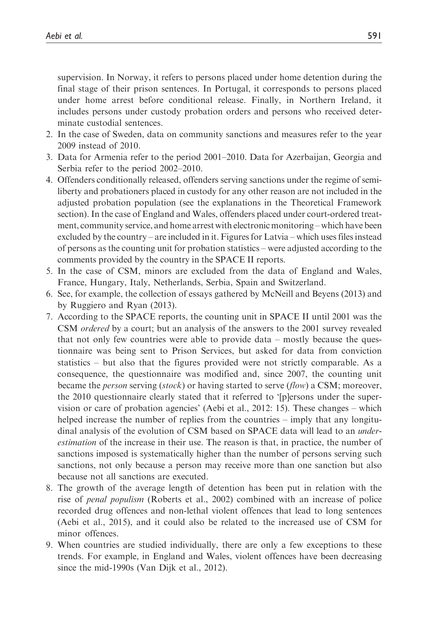supervision. In Norway, it refers to persons placed under home detention during the final stage of their prison sentences. In Portugal, it corresponds to persons placed under home arrest before conditional release. Finally, in Northern Ireland, it includes persons under custody probation orders and persons who received determinate custodial sentences.

- 2. In the case of Sweden, data on community sanctions and measures refer to the year 2009 instead of 2010.
- 3. Data for Armenia refer to the period 2001–2010. Data for Azerbaijan, Georgia and Serbia refer to the period 2002–2010.
- 4. Offenders conditionally released, offenders serving sanctions under the regime of semiliberty and probationers placed in custody for any other reason are not included in the adjusted probation population (see the explanations in the Theoretical Framework section). In the case of England and Wales, offenders placed under court-ordered treatment, community service, and home arrest with electronic monitoring – which have been excluded by the country – are included in it. Figures for Latvia – which uses files instead of persons as the counting unit for probation statistics – were adjusted according to the comments provided by the country in the SPACE II reports.
- 5. In the case of CSM, minors are excluded from the data of England and Wales, France, Hungary, Italy, Netherlands, Serbia, Spain and Switzerland.
- 6. See, for example, the collection of essays gathered by McNeill and Beyens (2013) and by Ruggiero and Ryan (2013).
- 7. According to the SPACE reports, the counting unit in SPACE II until 2001 was the CSM ordered by a court; but an analysis of the answers to the 2001 survey revealed that not only few countries were able to provide data – mostly because the questionnaire was being sent to Prison Services, but asked for data from conviction statistics – but also that the figures provided were not strictly comparable. As a consequence, the questionnaire was modified and, since 2007, the counting unit became the *person* serving (*stock*) or having started to serve (*flow*) a CSM; moreover, the 2010 questionnaire clearly stated that it referred to '[p]ersons under the supervision or care of probation agencies' (Aebi et al., 2012: 15). These changes – which helped increase the number of replies from the countries – imply that any longitudinal analysis of the evolution of CSM based on SPACE data will lead to an underestimation of the increase in their use. The reason is that, in practice, the number of sanctions imposed is systematically higher than the number of persons serving such sanctions, not only because a person may receive more than one sanction but also because not all sanctions are executed.
- 8. The growth of the average length of detention has been put in relation with the rise of penal populism (Roberts et al., 2002) combined with an increase of police recorded drug offences and non-lethal violent offences that lead to long sentences (Aebi et al., 2015), and it could also be related to the increased use of CSM for minor offences.
- 9. When countries are studied individually, there are only a few exceptions to these trends. For example, in England and Wales, violent offences have been decreasing since the mid-1990s (Van Dijk et al., 2012).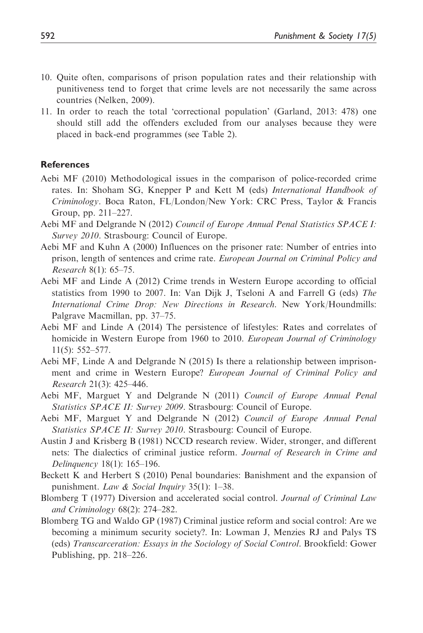- 10. Quite often, comparisons of prison population rates and their relationship with punitiveness tend to forget that crime levels are not necessarily the same across countries (Nelken, 2009).
- 11. In order to reach the total 'correctional population' (Garland, 2013: 478) one should still add the offenders excluded from our analyses because they were placed in back-end programmes (see Table 2).

#### References

- Aebi MF (2010) Methodological issues in the comparison of police-recorded crime rates. In: Shoham SG, Knepper P and Kett M (eds) International Handbook of Criminology. Boca Raton, FL/London/New York: CRC Press, Taylor & Francis Group, pp. 211–227.
- Aebi MF and Delgrande N (2012) Council of Europe Annual Penal Statistics SPACE I: Survey 2010. Strasbourg: Council of Europe.
- Aebi MF and Kuhn A (2000) Influences on the prisoner rate: Number of entries into prison, length of sentences and crime rate. European Journal on Criminal Policy and Research 8(1): 65–75.
- Aebi MF and Linde A (2012) Crime trends in Western Europe according to official statistics from 1990 to 2007. In: Van Dijk J, Tseloni A and Farrell G (eds) The International Crime Drop: New Directions in Research. New York/Houndmills: Palgrave Macmillan, pp. 37–75.
- Aebi MF and Linde A (2014) The persistence of lifestyles: Rates and correlates of homicide in Western Europe from 1960 to 2010. European Journal of Criminology 11(5): 552–577.
- Aebi MF, Linde A and Delgrande N (2015) Is there a relationship between imprisonment and crime in Western Europe? European Journal of Criminal Policy and Research 21(3): 425–446.
- Aebi MF, Marguet Y and Delgrande N (2011) Council of Europe Annual Penal Statistics SPACE II: Survey 2009. Strasbourg: Council of Europe.
- Aebi MF, Marguet Y and Delgrande N (2012) Council of Europe Annual Penal Statistics SPACE II: Survey 2010. Strasbourg: Council of Europe.
- Austin J and Krisberg B (1981) NCCD research review. Wider, stronger, and different nets: The dialectics of criminal justice reform. Journal of Research in Crime and Delinquency 18(1): 165–196.
- Beckett K and Herbert S (2010) Penal boundaries: Banishment and the expansion of punishment. Law & Social Inquiry 35(1): 1–38.
- Blomberg T (1977) Diversion and accelerated social control. Journal of Criminal Law and Criminology 68(2): 274–282.
- Blomberg TG and Waldo GP (1987) Criminal justice reform and social control: Are we becoming a minimum security society?. In: Lowman J, Menzies RJ and Palys TS (eds) Transcarceration: Essays in the Sociology of Social Control. Brookfield: Gower Publishing, pp. 218–226.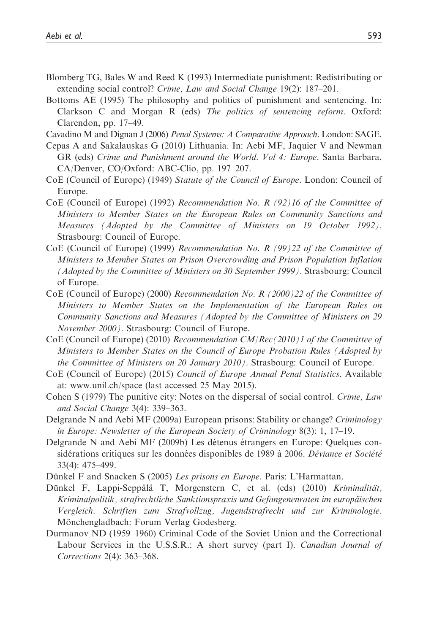- Blomberg TG, Bales W and Reed K (1993) Intermediate punishment: Redistributing or extending social control? Crime, Law and Social Change 19(2): 187–201.
- Bottoms AE (1995) The philosophy and politics of punishment and sentencing. In: Clarkson C and Morgan R (eds) The politics of sentencing reform. Oxford: Clarendon, pp. 17–49.

Cavadino M and Dignan J (2006) Penal Systems: A Comparative Approach. London: SAGE.

- Cepas A and Sakalauskas G (2010) Lithuania. In: Aebi MF, Jaquier V and Newman GR (eds) Crime and Punishment around the World. Vol 4: Europe. Santa Barbara, CA/Denver, CO/Oxford: ABC-Clio, pp. 197–207.
- CoE (Council of Europe) (1949) Statute of the Council of Europe. London: Council of Europe.
- CoE (Council of Europe) (1992) Recommendation No. R (92)16 of the Committee of Ministers to Member States on the European Rules on Community Sanctions and Measures (Adopted by the Committee of Ministers on 19 October 1992). Strasbourg: Council of Europe.
- CoE (Council of Europe) (1999) Recommendation No. R (99)22 of the Committee of Ministers to Member States on Prison Overcrowding and Prison Population Inflation (Adopted by the Committee of Ministers on 30 September 1999). Strasbourg: Council of Europe.
- CoE (Council of Europe) (2000) Recommendation No. R (2000)22 of the Committee of Ministers to Member States on the Implementation of the European Rules on Community Sanctions and Measures (Adopted by the Committee of Ministers on 29 November 2000). Strasbourg: Council of Europe.
- CoE (Council of Europe) (2010) Recommendation CM/Rec(2010)1 of the Committee of Ministers to Member States on the Council of Europe Probation Rules (Adopted by the Committee of Ministers on 20 January 2010). Strasbourg: Council of Europe.
- CoE (Council of Europe) (2015) Council of Europe Annual Penal Statistics. Available at: www.unil.ch/space (last accessed 25 May 2015).
- Cohen S (1979) The punitive city: Notes on the dispersal of social control. Crime, Law and Social Change 3(4): 339–363.
- Delgrande N and Aebi MF (2009a) European prisons: Stability or change? Criminology in Europe: Newsletter of the European Society of Criminology 8(3): 1, 17–19.
- Delgrande N and Aebi MF (2009b) Les détenus étrangers en Europe: Quelques considérations critiques sur les données disponibles de 1989 à 2006. Déviance et Société 33(4): 475–499.
- Dünkel F and Snacken S (2005) Les prisons en Europe. Paris: L'Harmattan.
- Dünkel F, Lappi-Seppälä T, Morgenstern C, et al. (eds) (2010) Kriminalität, Kriminalpolitik, strafrechtliche Sanktionspraxis und Gefangenenraten im europäischen Vergleich. Schriften zum Strafvollzug, Jugendstrafrecht und zur Kriminologie. Mönchengladbach: Forum Verlag Godesberg.
- Durmanov ND (1959–1960) Criminal Code of the Soviet Union and the Correctional Labour Services in the U.S.S.R.: A short survey (part I). Canadian Journal of Corrections 2(4): 363–368.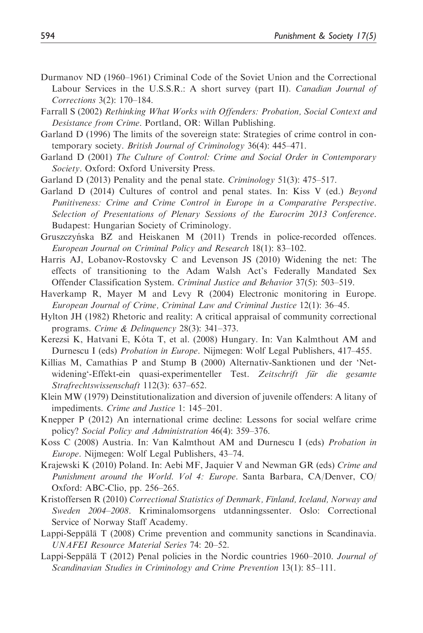- Durmanov ND (1960–1961) Criminal Code of the Soviet Union and the Correctional Labour Services in the U.S.S.R.: A short survey (part II). Canadian Journal of Corrections 3(2): 170–184.
- Farrall S (2002) Rethinking What Works with Offenders: Probation, Social Context and Desistance from Crime. Portland, OR: Willan Publishing.
- Garland D (1996) The limits of the sovereign state: Strategies of crime control in contemporary society. British Journal of Criminology 36(4): 445–471.
- Garland D (2001) The Culture of Control: Crime and Social Order in Contemporary Society. Oxford: Oxford University Press.
- Garland D (2013) Penality and the penal state. Criminology 51(3): 475–517.
- Garland D (2014) Cultures of control and penal states. In: Kiss V (ed.) Beyond Punitiveness: Crime and Crime Control in Europe in a Comparative Perspective. Selection of Presentations of Plenary Sessions of the Eurocrim 2013 Conference. Budapest: Hungarian Society of Criminology.
- Gruszczyńska BZ and Heiskanen M (2011) Trends in police-recorded offences. European Journal on Criminal Policy and Research 18(1): 83–102.
- Harris AJ, Lobanov-Rostovsky C and Levenson JS (2010) Widening the net: The effects of transitioning to the Adam Walsh Act's Federally Mandated Sex Offender Classification System. Criminal Justice and Behavior 37(5): 503–519.
- Haverkamp R, Mayer M and Levy R (2004) Electronic monitoring in Europe. European Journal of Crime, Criminal Law and Criminal Justice 12(1): 36–45.
- Hylton JH (1982) Rhetoric and reality: A critical appraisal of community correctional programs. Crime & Delinquency 28(3): 341–373.
- Kerezsi K, Hatvani E, Kóta T, et al. (2008) Hungary. In: Van Kalmthout AM and Durnescu I (eds) Probation in Europe. Nijmegen: Wolf Legal Publishers, 417–455.
- Killias M, Camathias P and Stump B (2000) Alternativ-Sanktionen und der 'Netwidening'-Effekt-ein quasi-experimenteller Test. Zeitschrift für die gesamte Strafrechtswissenschaft 112(3): 637–652.
- Klein MW (1979) Deinstitutionalization and diversion of juvenile offenders: A litany of impediments. Crime and Justice 1: 145–201.
- Knepper P (2012) An international crime decline: Lessons for social welfare crime policy? Social Policy and Administration 46(4): 359–376.
- Koss C (2008) Austria. In: Van Kalmthout AM and Durnescu I (eds) Probation in Europe. Nijmegen: Wolf Legal Publishers, 43–74.
- Krajewski K (2010) Poland. In: Aebi MF, Jaquier V and Newman GR (eds) Crime and Punishment around the World. Vol 4: Europe. Santa Barbara, CA/Denver, CO/ Oxford: ABC-Clio, pp. 256–265.
- Kristoffersen R (2010) Correctional Statistics of Denmark, Finland, Iceland, Norway and Sweden 2004–2008. Kriminalomsorgens utdanningssenter. Oslo: Correctional Service of Norway Staff Academy.
- Lappi-Seppala T (2008) Crime prevention and community sanctions in Scandinavia. UNAFEI Resource Material Series 74: 20–52.
- Lappi-Seppala  $\bar{T}$  (2012) Penal policies in the Nordic countries 1960–2010. Journal of Scandinavian Studies in Criminology and Crime Prevention 13(1): 85–111.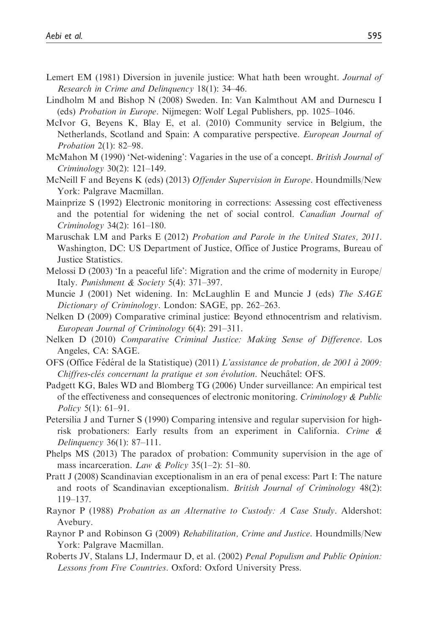- Lemert EM (1981) Diversion in juvenile justice: What hath been wrought. Journal of Research in Crime and Delinquency 18(1): 34–46.
- Lindholm M and Bishop N (2008) Sweden. In: Van Kalmthout AM and Durnescu I (eds) Probation in Europe. Nijmegen: Wolf Legal Publishers, pp. 1025–1046.
- McIvor G, Beyens K, Blay E, et al. (2010) Community service in Belgium, the Netherlands, Scotland and Spain: A comparative perspective. European Journal of Probation 2(1): 82–98.
- McMahon M (1990) 'Net-widening': Vagaries in the use of a concept. *British Journal of* Criminology 30(2): 121–149.
- McNeill F and Beyens K (eds) (2013) Offender Supervision in Europe. Houndmills/New York: Palgrave Macmillan.
- Mainprize S (1992) Electronic monitoring in corrections: Assessing cost effectiveness and the potential for widening the net of social control. Canadian Journal of Criminology 34(2): 161–180.
- Maruschak LM and Parks E (2012) Probation and Parole in the United States, 2011. Washington, DC: US Department of Justice, Office of Justice Programs, Bureau of Justice Statistics.
- Melossi D (2003) 'In a peaceful life': Migration and the crime of modernity in Europe/ Italy. Punishment & Society 5(4): 371–397.
- Muncie J (2001) Net widening. In: McLaughlin E and Muncie J (eds) The SAGE Dictionary of Criminology. London: SAGE, pp. 262–263.
- Nelken D (2009) Comparative criminal justice: Beyond ethnocentrism and relativism. European Journal of Criminology 6(4): 291–311.
- Nelken D (2010) Comparative Criminal Justice: Making Sense of Difference. Los Angeles, CA: SAGE.
- OFS (Office Fédéral de la Statistique) (2011) L'assistance de probation, de 2001 à 2009: Chiffres-clés concernant la pratique et son évolution. Neuchâtel: OFS.
- Padgett KG, Bales WD and Blomberg TG (2006) Under surveillance: An empirical test of the effectiveness and consequences of electronic monitoring. Criminology  $\&$  Public Policy 5(1): 61–91.
- Petersilia J and Turner S (1990) Comparing intensive and regular supervision for highrisk probationers: Early results from an experiment in California. Crime & Delinquency 36(1): 87–111.
- Phelps MS (2013) The paradox of probation: Community supervision in the age of mass incarceration. Law & Policy 35(1–2): 51–80.
- Pratt J (2008) Scandinavian exceptionalism in an era of penal excess: Part I: The nature and roots of Scandinavian exceptionalism. British Journal of Criminology 48(2): 119–137.
- Raynor P (1988) Probation as an Alternative to Custody: A Case Study. Aldershot: Avebury.
- Raynor P and Robinson G (2009) Rehabilitation, Crime and Justice. Houndmills/New York: Palgrave Macmillan.
- Roberts JV, Stalans LJ, Indermaur D, et al. (2002) Penal Populism and Public Opinion: Lessons from Five Countries. Oxford: Oxford University Press.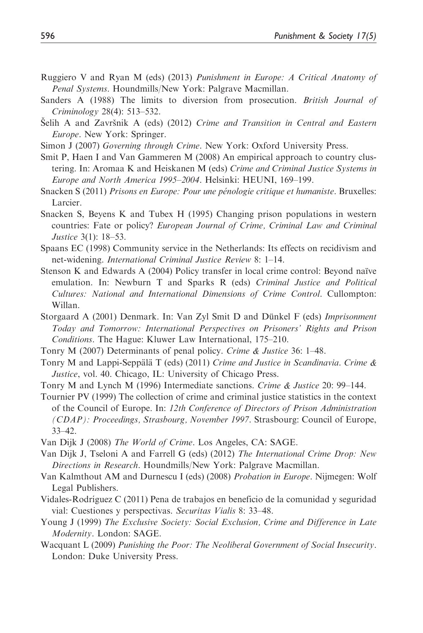- Ruggiero V and Ryan M (eds) (2013) Punishment in Europe: A Critical Anatomy of Penal Systems. Houndmills/New York: Palgrave Macmillan.
- Sanders A (1988) The limits to diversion from prosecution. British Journal of Criminology 28(4): 513–532.
- Selih A and Završnik A (eds) (2012) Crime and Transition in Central and Eastern Europe. New York: Springer.
- Simon J (2007) Governing through Crime. New York: Oxford University Press.
- Smit P, Haen I and Van Gammeren M (2008) An empirical approach to country clustering. In: Aromaa K and Heiskanen M (eds) Crime and Criminal Justice Systems in Europe and North America 1995–2004. Helsinki: HEUNI, 169–199.
- Snacken S (2011) Prisons en Europe: Pour une pénologie critique et humaniste. Bruxelles: Larcier.
- Snacken S, Beyens K and Tubex H (1995) Changing prison populations in western countries: Fate or policy? European Journal of Crime, Criminal Law and Criminal Justice 3(1): 18–53.
- Spaans EC (1998) Community service in the Netherlands: Its effects on recidivism and net-widening. International Criminal Justice Review 8: 1–14.
- Stenson K and Edwards A  $(2004)$  Policy transfer in local crime control: Beyond naïve emulation. In: Newburn T and Sparks R (eds) Criminal Justice and Political Cultures: National and International Dimensions of Crime Control. Cullompton: Willan.
- Storgaard A (2001) Denmark. In: Van Zyl Smit D and Dünkel F (eds) *Imprisonment* Today and Tomorrow: International Perspectives on Prisoners' Rights and Prison Conditions. The Hague: Kluwer Law International, 175–210.
- Tonry M (2007) Determinants of penal policy. Crime & Justice 36: 1–48.
- Tonry M and Lappi-Seppälä T (eds) (2011) Crime and Justice in Scandinavia. Crime  $\&$ Justice, vol. 40. Chicago, IL: University of Chicago Press.
- Tonry M and Lynch M (1996) Intermediate sanctions. Crime & Justice 20: 99–144.
- Tournier PV (1999) The collection of crime and criminal justice statistics in the context of the Council of Europe. In: 12th Conference of Directors of Prison Administration (CDAP): Proceedings, Strasbourg, November 1997. Strasbourg: Council of Europe, 33–42.
- Van Dijk J (2008) The World of Crime. Los Angeles, CA: SAGE.
- Van Dijk J, Tseloni A and Farrell G (eds) (2012) The International Crime Drop: New Directions in Research. Houndmills/New York: Palgrave Macmillan.
- Van Kalmthout AM and Durnescu I (eds) (2008) Probation in Europe. Nijmegen: Wolf Legal Publishers.
- Vidales-Rodrı´guez C (2011) Pena de trabajos en beneficio de la comunidad y seguridad vial: Cuestiones y perspectivas. Securitas Vialis 8: 33–48.
- Young J (1999) The Exclusive Society: Social Exclusion, Crime and Difference in Late Modernity. London: SAGE.
- Wacquant L (2009) Punishing the Poor: The Neoliberal Government of Social Insecurity. London: Duke University Press.